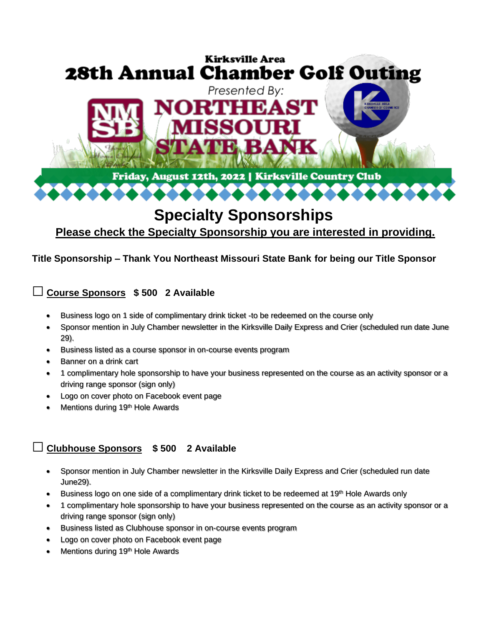

# **Specialty Sponsorships**

## **Please check the Specialty Sponsorship you are interested in providing.**

#### **Title Sponsorship – Thank You Northeast Missouri State Bank for being our Title Sponsor**

## **□ Course Sponsors \$ 500 2 Available**

- Business logo on 1 side of complimentary drink ticket -to be redeemed on the course only
- Sponsor mention in July Chamber newsletter in the Kirksville Daily Express and Crier (scheduled run date June 29).
- Business listed as a course sponsor in on-course events program
- Banner on a drink cart
- 1 complimentary hole sponsorship to have your business represented on the course as an activity sponsor or a driving range sponsor (sign only)
- Logo on cover photo on Facebook event page
- Mentions during 19th Hole Awards

## **□ Clubhouse Sponsors \$ 500 2 Available**

- Sponsor mention in July Chamber newsletter in the Kirksville Daily Express and Crier (scheduled run date June29).
- Business logo on one side of a complimentary drink ticket to be redeemed at 19<sup>th</sup> Hole Awards only
- 1 complimentary hole sponsorship to have your business represented on the course as an activity sponsor or a driving range sponsor (sign only)
- Business listed as Clubhouse sponsor in on-course events program
- Logo on cover photo on Facebook event page
- Mentions during 19th Hole Awards